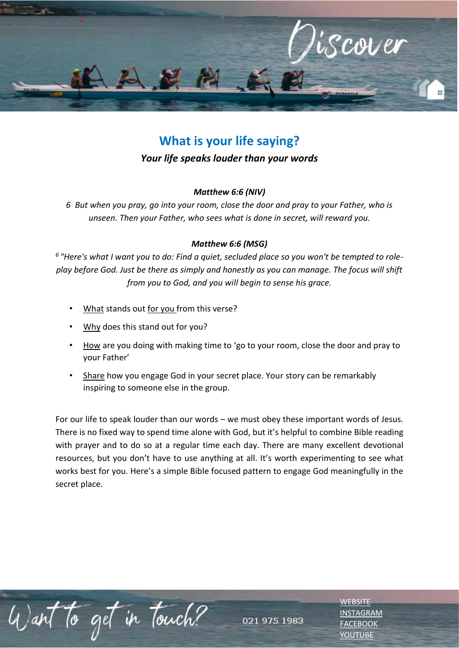

# **What is your life saying?**

## *Your life speaks louder than your words*

### *Matthew 6:6 (NIV)*

*6 But when you pray, go into your room, close the door and pray to your Father, who is unseen. Then your Father, who sees what is done in secret, will reward you.*

### *Matthew 6:6 (MSG)*

*6 "Here's what I want you to do: Find a quiet, secluded place so you won't be tempted to roleplay before God. Just be there as simply and honestly as you can manage. The focus will shift from you to God, and you will begin to sense his grace.*

- What stands out for you from this verse?
- Why does this stand out for you?
- How are you doing with making time to 'go to your room, close the door and pray to your Father'
- Share how you engage God in your secret place. Your story can be remarkably inspiring to someone else in the group.

For our life to speak louder than our words – we must obey these important words of Jesus. There is no fixed way to spend time alone with God, but it's helpful to combine Bible reading with prayer and to do so at a regular time each day. There are many excellent devotional resources, but you don't have to use anything at all. It's worth experimenting to see what works best for you. Here's a simple Bible focused pattern to engage God meaningfully in the secret place.

To get in Touch?

021 975 1983

**[WEBSITE](http://www.escc.co.za/)** [INSTAGRAM](https://www.instagram.com/esccdurbanville/) [FACEBOOK](https://www.facebook.com/escc.za) [YOUTUBE](https://www.youtube.com/c/ESCCDurbanvilleV)